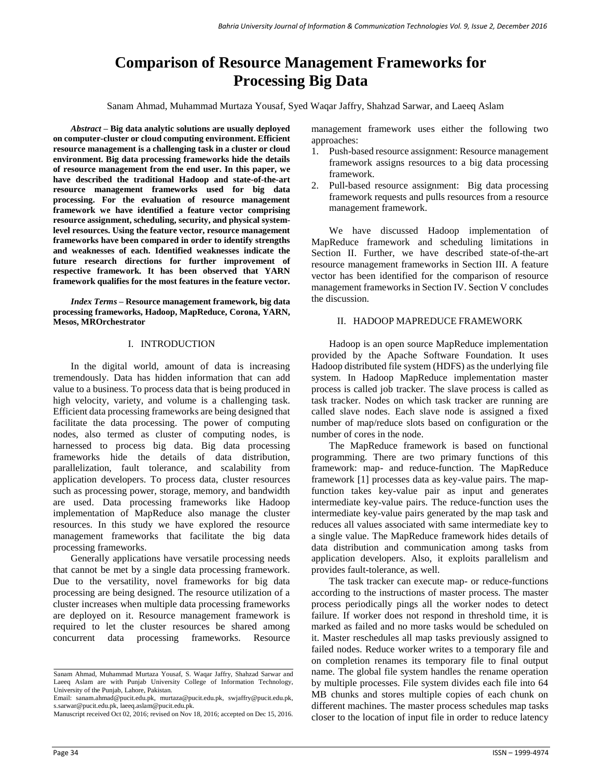# **Comparison of Resource Management Frameworks for Processing Big Data**

Sanam Ahmad, Muhammad Murtaza Yousaf, Syed Waqar Jaffry, Shahzad Sarwar, and Laeeq Aslam

*Abstract –* **Big data analytic solutions are usually deployed on computer-cluster or cloud computing environment. Efficient resource management is a challenging task in a cluster or cloud environment. Big data processing frameworks hide the details of resource management from the end user. In this paper, we have described the traditional Hadoop and state-of-the-art resource management frameworks used for big data processing. For the evaluation of resource management framework we have identified a feature vector comprising resource assignment, scheduling, security, and physical systemlevel resources. Using the feature vector, resource management frameworks have been compared in order to identify strengths and weaknesses of each. Identified weaknesses indicate the future research directions for further improvement of respective framework. It has been observed that YARN framework qualifies for the most features in the feature vector.**

*Index Terms –* **Resource management framework, big data processing frameworks, Hadoop, MapReduce, Corona, YARN, Mesos, MROrchestrator**

### I. INTRODUCTION

In the digital world, amount of data is increasing tremendously. Data has hidden information that can add value to a business. To process data that is being produced in high velocity, variety, and volume is a challenging task. Efficient data processing frameworks are being designed that facilitate the data processing. The power of computing nodes, also termed as cluster of computing nodes, is harnessed to process big data. Big data processing frameworks hide the details of data distribution, parallelization, fault tolerance, and scalability from application developers. To process data, cluster resources such as processing power, storage, memory, and bandwidth are used. Data processing frameworks like Hadoop implementation of MapReduce also manage the cluster resources. In this study we have explored the resource management frameworks that facilitate the big data processing frameworks.

Generally applications have versatile processing needs that cannot be met by a single data processing framework. Due to the versatility, novel frameworks for big data processing are being designed. The resource utilization of a cluster increases when multiple data processing frameworks are deployed on it. Resource management framework is required to let the cluster resources be shared among concurrent data processing frameworks. Resource management framework uses either the following two approaches:

- 1. Push-based resource assignment: Resource management framework assigns resources to a big data processing framework.
- 2. Pull-based resource assignment: Big data processing framework requests and pulls resources from a resource management framework.

We have discussed Hadoop implementation of MapReduce framework and scheduling limitations in Section II. Further, we have described state-of-the-art resource management frameworks in Section III. A feature vector has been identified for the comparison of resource management frameworks in Section IV. Section V concludes the discussion.

#### II. HADOOP MAPREDUCE FRAMEWORK

Hadoop is an open source MapReduce implementation provided by the Apache Software Foundation. It uses Hadoop distributed file system (HDFS) as the underlying file system. In Hadoop MapReduce implementation master process is called job tracker. The slave process is called as task tracker. Nodes on which task tracker are running are called slave nodes. Each slave node is assigned a fixed number of map/reduce slots based on configuration or the number of cores in the node.

The MapReduce framework is based on functional programming. There are two primary functions of this framework: map- and reduce-function. The MapReduce framework [1] processes data as key-value pairs. The mapfunction takes key-value pair as input and generates intermediate key-value pairs. The reduce-function uses the intermediate key-value pairs generated by the map task and reduces all values associated with same intermediate key to a single value. The MapReduce framework hides details of data distribution and communication among tasks from application developers. Also, it exploits parallelism and provides fault-tolerance, as well.

The task tracker can execute map- or reduce-functions according to the instructions of master process. The master process periodically pings all the worker nodes to detect failure. If worker does not respond in threshold time, it is marked as failed and no more tasks would be scheduled on it. Master reschedules all map tasks previously assigned to failed nodes. Reduce worker writes to a temporary file and on completion renames its temporary file to final output name. The global file system handles the rename operation by multiple processes. File system divides each file into 64 MB chunks and stores multiple copies of each chunk on different machines. The master process schedules map tasks closer to the location of input file in order to reduce latency

Sanam Ahmad, Muhammad Murtaza Yousaf, S. Waqar Jaffry, Shahzad Sarwar and Laeeq Aslam are with Punjab University College of Information Technology, University of the Punjab, Lahore, Pakistan.

Email: [sanam.ahmad@pucit.edu.pk,](mailto:sanam.ahmad@pucit.edu.pk) murtaza@pucit.edu.pk, [swjaffry@pucit.edu.pk,](mailto:swjaffry@pucit.edu.pk)  [s.sarwar@pucit.edu.pk,](mailto:s.sarwar@pucit.edu.pk) laeeq.aslam@pucit.edu.pk.

Manuscript received Oct 02, 2016; revised on Nov 18, 2016; accepted on Dec 15, 2016.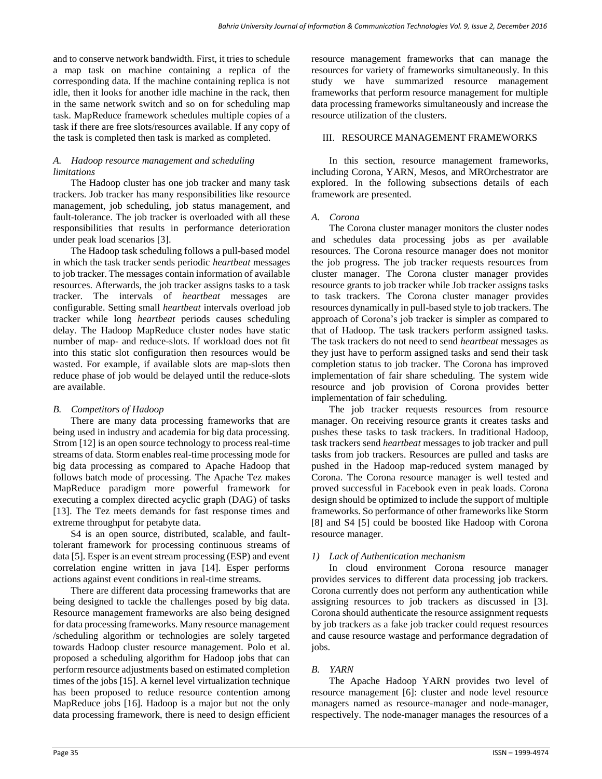and to conserve network bandwidth. First, it tries to schedule a map task on machine containing a replica of the corresponding data. If the machine containing replica is not idle, then it looks for another idle machine in the rack, then in the same network switch and so on for scheduling map task. MapReduce framework schedules multiple copies of a task if there are free slots/resources available. If any copy of the task is completed then task is marked as completed.

# *A. Hadoop resource management and scheduling limitations*

The Hadoop cluster has one job tracker and many task trackers. Job tracker has many responsibilities like resource management, job scheduling, job status management, and fault-tolerance. The job tracker is overloaded with all these responsibilities that results in performance deterioration under peak load scenarios [3].

The Hadoop task scheduling follows a pull-based model in which the task tracker sends periodic *heartbeat* messages to job tracker. The messages contain information of available resources. Afterwards, the job tracker assigns tasks to a task tracker. The intervals of *heartbeat* messages are configurable. Setting small *heartbeat* intervals overload job tracker while long *heartbeat* periods causes scheduling delay. The Hadoop MapReduce cluster nodes have static number of map- and reduce-slots. If workload does not fit into this static slot configuration then resources would be wasted. For example, if available slots are map-slots then reduce phase of job would be delayed until the reduce-slots are available.

## *B. Competitors of Hadoop*

There are many data processing frameworks that are being used in industry and academia for big data processing. Strom [12] is an open source technology to process real-time streams of data. Storm enables real-time processing mode for big data processing as compared to Apache Hadoop that follows batch mode of processing. The Apache Tez makes MapReduce paradigm more powerful framework for executing a complex directed acyclic graph (DAG) of tasks [13]. The Tez meets demands for fast response times and extreme throughput for petabyte data.

S4 is an open source, distributed, scalable, and faulttolerant framework for processing continuous streams of data [5]. Esper is an event stream processing (ESP) and event correlation engine written in java [14]. Esper performs actions against event conditions in real-time streams.

There are different data processing frameworks that are being designed to tackle the challenges posed by big data. Resource management frameworks are also being designed for data processing frameworks. Many resource management /scheduling algorithm or technologies are solely targeted towards Hadoop cluster resource management. Polo et al. proposed a scheduling algorithm for Hadoop jobs that can perform resource adjustments based on estimated completion times of the jobs [15]. A kernel level virtualization technique has been proposed to reduce resource contention among MapReduce jobs [16]. Hadoop is a major but not the only data processing framework, there is need to design efficient

resource management frameworks that can manage the resources for variety of frameworks simultaneously. In this study we have summarized resource management frameworks that perform resource management for multiple data processing frameworks simultaneously and increase the resource utilization of the clusters.

# III. RESOURCE MANAGEMENT FRAMEWORKS

In this section, resource management frameworks, including Corona, YARN, Mesos, and MROrchestrator are explored. In the following subsections details of each framework are presented.

# *A. Corona*

The Corona cluster manager monitors the cluster nodes and schedules data processing jobs as per available resources. The Corona resource manager does not monitor the job progress. The job tracker requests resources from cluster manager. The Corona cluster manager provides resource grants to job tracker while Job tracker assigns tasks to task trackers. The Corona cluster manager provides resources dynamically in pull-based style to job trackers. The approach of Corona's job tracker is simpler as compared to that of Hadoop. The task trackers perform assigned tasks. The task trackers do not need to send *heartbeat* messages as they just have to perform assigned tasks and send their task completion status to job tracker. The Corona has improved implementation of fair share scheduling. The system wide resource and job provision of Corona provides better implementation of fair scheduling.

The job tracker requests resources from resource manager. On receiving resource grants it creates tasks and pushes these tasks to task trackers. In traditional Hadoop, task trackers send *heartbeat* messages to job tracker and pull tasks from job trackers. Resources are pulled and tasks are pushed in the Hadoop map-reduced system managed by Corona. The Corona resource manager is well tested and proved successful in Facebook even in peak loads. Corona design should be optimized to include the support of multiple frameworks. So performance of other frameworks like Storm [8] and S4 [5] could be boosted like Hadoop with Corona resource manager.

# *1) Lack of Authentication mechanism*

In cloud environment Corona resource manager provides services to different data processing job trackers. Corona currently does not perform any authentication while assigning resources to job trackers as discussed in [3]. Corona should authenticate the resource assignment requests by job trackers as a fake job tracker could request resources and cause resource wastage and performance degradation of jobs.

# *B. YARN*

The Apache Hadoop YARN provides two level of resource management [6]: cluster and node level resource managers named as resource-manager and node-manager, respectively. The node-manager manages the resources of a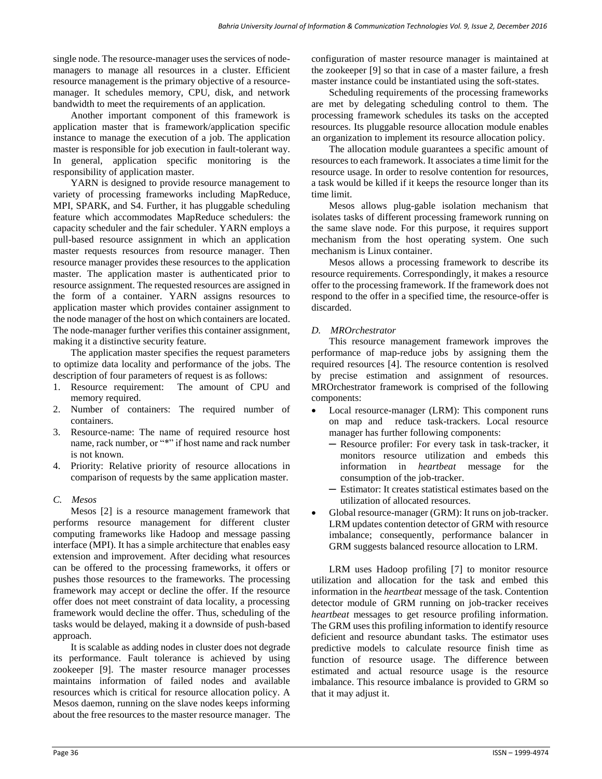single node. The resource-manager uses the services of nodemanagers to manage all resources in a cluster. Efficient resource management is the primary objective of a resourcemanager. It schedules memory, CPU, disk, and network bandwidth to meet the requirements of an application.

Another important component of this framework is application master that is framework/application specific instance to manage the execution of a job. The application master is responsible for job execution in fault-tolerant way. In general, application specific monitoring is the responsibility of application master.

YARN is designed to provide resource management to variety of processing frameworks including MapReduce, MPI, SPARK, and S4. Further, it has pluggable scheduling feature which accommodates MapReduce schedulers: the capacity scheduler and the fair scheduler. YARN employs a pull-based resource assignment in which an application master requests resources from resource manager. Then resource manager provides these resources to the application master. The application master is authenticated prior to resource assignment. The requested resources are assigned in the form of a container. YARN assigns resources to application master which provides container assignment to the node manager of the host on which containers are located. The node-manager further verifies this container assignment, making it a distinctive security feature.

The application master specifies the request parameters to optimize data locality and performance of the jobs. The description of four parameters of request is as follows:

- 1. Resource requirement: The amount of CPU and memory required.
- 2. Number of containers: The required number of containers.
- 3. Resource-name: The name of required resource host name, rack number, or "\*" if host name and rack number is not known.
- 4. Priority: Relative priority of resource allocations in comparison of requests by the same application master.

## *C. Mesos*

Mesos [2] is a resource management framework that performs resource management for different cluster computing frameworks like Hadoop and message passing interface (MPI). It has a simple architecture that enables easy extension and improvement. After deciding what resources can be offered to the processing frameworks, it offers or pushes those resources to the frameworks. The processing framework may accept or decline the offer. If the resource offer does not meet constraint of data locality, a processing framework would decline the offer. Thus, scheduling of the tasks would be delayed, making it a downside of push-based approach.

It is scalable as adding nodes in cluster does not degrade its performance. Fault tolerance is achieved by using zookeeper [9]. The master resource manager processes maintains information of failed nodes and available resources which is critical for resource allocation policy. A Mesos daemon, running on the slave nodes keeps informing about the free resources to the master resource manager. The configuration of master resource manager is maintained at the zookeeper [9] so that in case of a master failure, a fresh master instance could be instantiated using the soft-states.

Scheduling requirements of the processing frameworks are met by delegating scheduling control to them. The processing framework schedules its tasks on the accepted resources. Its pluggable resource allocation module enables an organization to implement its resource allocation policy.

The allocation module guarantees a specific amount of resources to each framework. It associates a time limit for the resource usage. In order to resolve contention for resources, a task would be killed if it keeps the resource longer than its time limit.

Mesos allows plug-gable isolation mechanism that isolates tasks of different processing framework running on the same slave node. For this purpose, it requires support mechanism from the host operating system. One such mechanism is Linux container.

Mesos allows a processing framework to describe its resource requirements. Correspondingly, it makes a resource offer to the processing framework. If the framework does not respond to the offer in a specified time, the resource-offer is discarded.

# *D. MROrchestrator*

This resource management framework improves the performance of map-reduce jobs by assigning them the required resources [4]. The resource contention is resolved by precise estimation and assignment of resources. MROrchestrator framework is comprised of the following components:

- Local resource-manager (LRM): This component runs on map and reduce task-trackers. Local resource manager has further following components:
	- ─ Resource profiler: For every task in task-tracker, it monitors resource utilization and embeds this information in *heartbeat* message for the consumption of the job-tracker.
	- ─ Estimator: It creates statistical estimates based on the utilization of allocated resources.
- Global resource-manager (GRM): It runs on job-tracker. LRM updates contention detector of GRM with resource imbalance; consequently, performance balancer in GRM suggests balanced resource allocation to LRM.

LRM uses Hadoop profiling [7] to monitor resource utilization and allocation for the task and embed this information in the *heartbeat* message of the task. Contention detector module of GRM running on job-tracker receives *heartbeat* messages to get resource profiling information. The GRM uses this profiling information to identify resource deficient and resource abundant tasks. The estimator uses predictive models to calculate resource finish time as function of resource usage. The difference between estimated and actual resource usage is the resource imbalance. This resource imbalance is provided to GRM so that it may adjust it.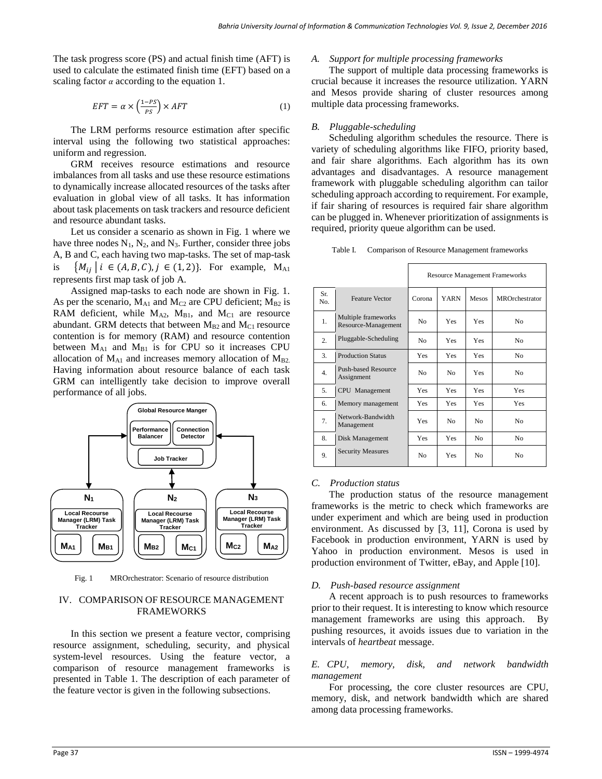The task progress score (PS) and actual finish time (AFT) is used to calculate the estimated finish time (EFT) based on a scaling factor  $\alpha$  according to the equation 1.

$$
EFT = \alpha \times \left(\frac{1 - PS}{PS}\right) \times AFT
$$
 (1)

The LRM performs resource estimation after specific interval using the following two statistical approaches: uniform and regression.

GRM receives resource estimations and resource imbalances from all tasks and use these resource estimations to dynamically increase allocated resources of the tasks after evaluation in global view of all tasks. It has information about task placements on task trackers and resource deficient and resource abundant tasks.

Let us consider a scenario as shown in Fig. 1 where we have three nodes  $N_1$ ,  $N_2$ , and  $N_3$ . Further, consider three jobs A, B and C, each having two map-tasks. The set of map-task is  $\{M_{ij} \mid i \in (A, B, C), j \in (1, 2)\}.$  For example,  $M_{A1}$ represents first map task of job A.

Assigned map-tasks to each node are shown in Fig. 1. As per the scenario,  $M_{A1}$  and  $M_{C2}$  are CPU deficient;  $M_{B2}$  is RAM deficient, while  $M_{A2}$ ,  $M_{B1}$ , and  $M_{C1}$  are resource abundant. GRM detects that between  $M_{B2}$  and  $M_{C1}$  resource contention is for memory (RAM) and resource contention between  $M_{A1}$  and  $M_{B1}$  is for CPU so it increases CPU allocation of  $M_{A1}$  and increases memory allocation of  $M_{B2}$ . Having information about resource balance of each task GRM can intelligently take decision to improve overall performance of all jobs.



Fig. 1 MROrchestrator: Scenario of resource distribution

## IV. COMPARISON OF RESOURCE MANAGEMENT FRAMEWORKS

In this section we present a feature vector, comprising resource assignment, scheduling, security, and physical system-level resources. Using the feature vector, a comparison of resource management frameworks is presented in Table 1. The description of each parameter of the feature vector is given in the following subsections.

#### *A. Support for multiple processing frameworks*

The support of multiple data processing frameworks is crucial because it increases the resource utilization. YARN and Mesos provide sharing of cluster resources among multiple data processing frameworks.

#### *B. Pluggable-scheduling*

Scheduling algorithm schedules the resource. There is variety of scheduling algorithms like FIFO, priority based, and fair share algorithms. Each algorithm has its own advantages and disadvantages. A resource management framework with pluggable scheduling algorithm can tailor scheduling approach according to requirement. For example, if fair sharing of resources is required fair share algorithm can be plugged in. Whenever prioritization of assignments is required, priority queue algorithm can be used.

Table I. Comparison of Resource Management frameworks

|                  |                                            | <b>Resource Management Frameworks</b> |             |                |                       |
|------------------|--------------------------------------------|---------------------------------------|-------------|----------------|-----------------------|
| Sr.<br>No.       | <b>Feature Vector</b>                      | Corona                                | <b>YARN</b> | Mesos          | <b>MROrchestrator</b> |
| 1.               | Multiple frameworks<br>Resource-Management | No                                    | <b>Yes</b>  | <b>Yes</b>     | No                    |
| $\overline{2}$ . | Pluggable-Scheduling                       | N <sub>0</sub>                        | <b>Yes</b>  | <b>Yes</b>     | N <sub>0</sub>        |
| 3.               | <b>Production Status</b>                   | <b>Yes</b>                            | <b>Yes</b>  | <b>Yes</b>     | No.                   |
| 4.               | <b>Push-based Resource</b><br>Assignment   | N <sub>o</sub>                        | No          | <b>Yes</b>     | N <sub>0</sub>        |
| 5.               | CPU Management                             | <b>Yes</b>                            | <b>Yes</b>  | <b>Yes</b>     | Yes                   |
| 6.               | Memory management                          | <b>Yes</b>                            | <b>Yes</b>  | <b>Yes</b>     | Yes                   |
| 7.               | Network-Bandwidth<br>Management            | Yes                                   | No          | N <sub>0</sub> | N <sub>0</sub>        |
| 8.               | Disk Management                            | Yes                                   | <b>Yes</b>  | N <sub>0</sub> | N <sub>0</sub>        |
| 9.               | <b>Security Measures</b>                   | N <sub>0</sub>                        | <b>Yes</b>  | N <sub>0</sub> | N <sub>0</sub>        |

#### *C. Production status*

The production status of the resource management frameworks is the metric to check which frameworks are under experiment and which are being used in production environment. As discussed by [3, 11], Corona is used by Facebook in production environment, YARN is used by Yahoo in production environment. Mesos is used in production environment of Twitter, eBay, and Apple [10].

#### *D. Push-based resource assignment*

A recent approach is to push resources to frameworks prior to their request. It is interesting to know which resource management frameworks are using this approach. By pushing resources, it avoids issues due to variation in the intervals of *heartbeat* message.

#### *E. CPU, memory, disk, and network bandwidth management*

For processing, the core cluster resources are CPU, memory, disk, and network bandwidth which are shared among data processing frameworks.